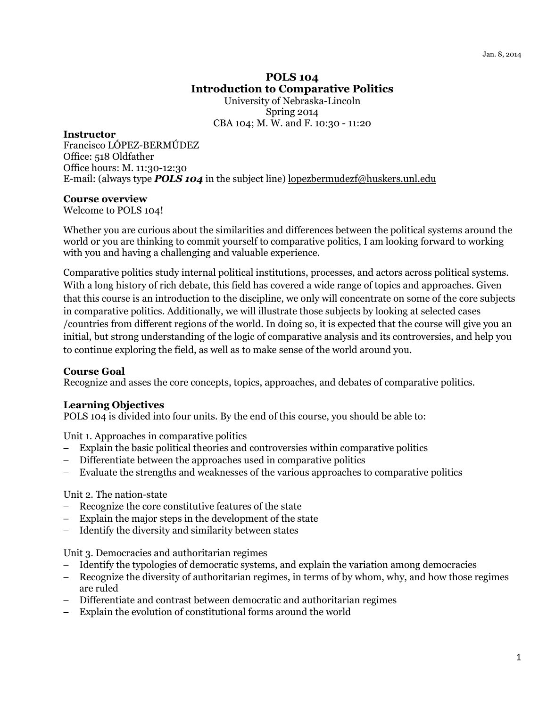# POLS 104 Introduction to Comparative Politics University of Nebraska-Lincoln

Spring 2014 CBA 104; M. W. and F. 10:30 - 11:20

#### **Instructor**

Francisco LÓPEZ-BERMÚDEZ Office: 518 Oldfather Office hours: M. 11:30-12:30 E-mail: (always type **POLS 104** in the subject line) lopezbermudezf@huskers.unl.edu

#### Course overview

Welcome to POLS 104!

Whether you are curious about the similarities and differences between the political systems around the world or you are thinking to commit yourself to comparative politics, I am looking forward to working with you and having a challenging and valuable experience.

Comparative politics study internal political institutions, processes, and actors across political systems. With a long history of rich debate, this field has covered a wide range of topics and approaches. Given that this course is an introduction to the discipline, we only will concentrate on some of the core subjects in comparative politics. Additionally, we will illustrate those subjects by looking at selected cases /countries from different regions of the world. In doing so, it is expected that the course will give you an initial, but strong understanding of the logic of comparative analysis and its controversies, and help you to continue exploring the field, as well as to make sense of the world around you.

#### Course Goal

Recognize and asses the core concepts, topics, approaches, and debates of comparative politics.

#### Learning Objectives

POLS 104 is divided into four units. By the end of this course, you should be able to:

Unit 1. Approaches in comparative politics

- Explain the basic political theories and controversies within comparative politics
- Differentiate between the approaches used in comparative politics
- − Evaluate the strengths and weaknesses of the various approaches to comparative politics

#### Unit 2. The nation-state

- − Recognize the core constitutive features of the state
- Explain the major steps in the development of the state
- − Identify the diversity and similarity between states

Unit 3. Democracies and authoritarian regimes

- − Identify the typologies of democratic systems, and explain the variation among democracies
- − Recognize the diversity of authoritarian regimes, in terms of by whom, why, and how those regimes are ruled
- − Differentiate and contrast between democratic and authoritarian regimes
- − Explain the evolution of constitutional forms around the world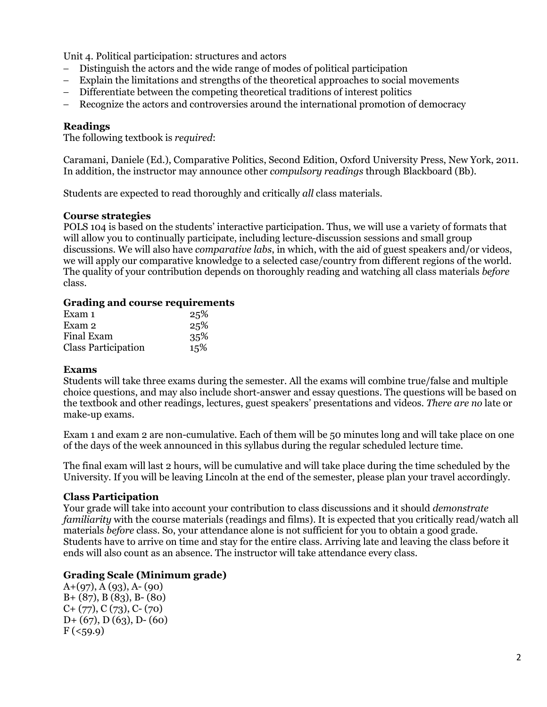Unit 4. Political participation: structures and actors

- − Distinguish the actors and the wide range of modes of political participation
- − Explain the limitations and strengths of the theoretical approaches to social movements
- − Differentiate between the competing theoretical traditions of interest politics
- − Recognize the actors and controversies around the international promotion of democracy

#### Readings

The following textbook is required:

Caramani, Daniele (Ed.), Comparative Politics, Second Edition, Oxford University Press, New York, 2011. In addition, the instructor may announce other compulsory readings through Blackboard (Bb).

Students are expected to read thoroughly and critically all class materials.

#### Course strategies

POLS 104 is based on the students' interactive participation. Thus, we will use a variety of formats that will allow you to continually participate, including lecture-discussion sessions and small group discussions. We will also have comparative labs, in which, with the aid of guest speakers and/or videos, we will apply our comparative knowledge to a selected case/country from different regions of the world. The quality of your contribution depends on thoroughly reading and watching all class materials before class.

#### Grading and course requirements

| Exam 1                     | 25% |
|----------------------------|-----|
| Exam 2                     | 25% |
| <b>Final Exam</b>          | 35% |
| <b>Class Participation</b> | 15% |

#### Exams

Students will take three exams during the semester. All the exams will combine true/false and multiple choice questions, and may also include short-answer and essay questions. The questions will be based on the textbook and other readings, lectures, guest speakers' presentations and videos. There are no late or make-up exams.

Exam 1 and exam 2 are non-cumulative. Each of them will be 50 minutes long and will take place on one of the days of the week announced in this syllabus during the regular scheduled lecture time.

The final exam will last 2 hours, will be cumulative and will take place during the time scheduled by the University. If you will be leaving Lincoln at the end of the semester, please plan your travel accordingly.

#### Class Participation

Your grade will take into account your contribution to class discussions and it should demonstrate familiarity with the course materials (readings and films). It is expected that you critically read/watch all materials before class. So, your attendance alone is not sufficient for you to obtain a good grade. Students have to arrive on time and stay for the entire class. Arriving late and leaving the class before it ends will also count as an absence. The instructor will take attendance every class.

#### Grading Scale (Minimum grade)

 $A+(97)$ ,  $A(93)$ ,  $A-(90)$ B+ (87), B (83), B- (80) C+ (77), C (73), C- (70) D+ (67), D (63), D- (60)  $F ( < 59.9)$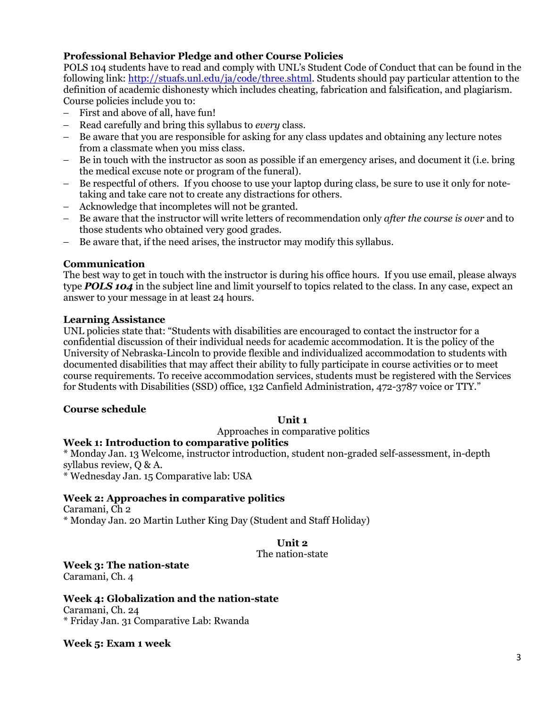# Professional Behavior Pledge and other Course Policies

POLS 104 students have to read and comply with UNL's Student Code of Conduct that can be found in the following link: http://stuafs.unl.edu/ja/code/three.shtml. Students should pay particular attention to the definition of academic dishonesty which includes cheating, fabrication and falsification, and plagiarism. Course policies include you to:

- First and above of all, have fun!
- − Read carefully and bring this syllabus to every class.
- Be aware that you are responsible for asking for any class updates and obtaining any lecture notes from a classmate when you miss class.
- Be in touch with the instructor as soon as possible if an emergency arises, and document it (i.e. bring the medical excuse note or program of the funeral).
- − Be respectful of others. If you choose to use your laptop during class, be sure to use it only for notetaking and take care not to create any distractions for others.
- − Acknowledge that incompletes will not be granted.
- − Be aware that the instructor will write letters of recommendation only after the course is over and to those students who obtained very good grades.
- − Be aware that, if the need arises, the instructor may modify this syllabus.

#### Communication

The best way to get in touch with the instructor is during his office hours. If you use email, please always type **POLS 104** in the subject line and limit yourself to topics related to the class. In any case, expect an answer to your message in at least 24 hours.

#### Learning Assistance

UNL policies state that: "Students with disabilities are encouraged to contact the instructor for a confidential discussion of their individual needs for academic accommodation. It is the policy of the University of Nebraska-Lincoln to provide flexible and individualized accommodation to students with documented disabilities that may affect their ability to fully participate in course activities or to meet course requirements. To receive accommodation services, students must be registered with the Services for Students with Disabilities (SSD) office, 132 Canfield Administration, 472-3787 voice or TTY."

#### Course schedule

#### Unit 1

Approaches in comparative politics

#### Week 1: Introduction to comparative politics

\* Monday Jan. 13 Welcome, instructor introduction, student non-graded self-assessment, in-depth syllabus review, Q & A.

\* Wednesday Jan. 15 Comparative lab: USA

# Week 2: Approaches in comparative politics

Caramani, Ch 2

\* Monday Jan. 20 Martin Luther King Day (Student and Staff Holiday)

# Unit 2

The nation-state

Week 3: The nation-state Caramani, Ch. 4

Week 4: Globalization and the nation-state

Caramani, Ch. 24 \* Friday Jan. 31 Comparative Lab: Rwanda

Week 5: Exam 1 week